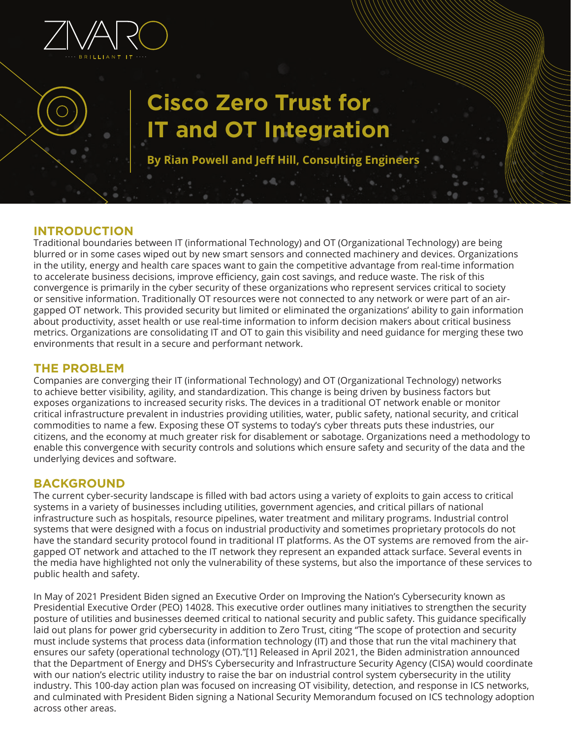

# **Cisco Zero Trust for IT and OT Integration**

**By Rian Powell and Jeff Hill, Consulting Engineers**

## **INTRODUCTION**

Traditional boundaries between IT (informational Technology) and OT (Organizational Technology) are being blurred or in some cases wiped out by new smart sensors and connected machinery and devices. Organizations in the utility, energy and health care spaces want to gain the competitive advantage from real-time information to accelerate business decisions, improve efficiency, gain cost savings, and reduce waste. The risk of this convergence is primarily in the cyber security of these organizations who represent services critical to society or sensitive information. Traditionally OT resources were not connected to any network or were part of an airgapped OT network. This provided security but limited or eliminated the organizations' ability to gain information about productivity, asset health or use real-time information to inform decision makers about critical business metrics. Organizations are consolidating IT and OT to gain this visibility and need guidance for merging these two environments that result in a secure and performant network.

#### **THE PROBLEM**

Companies are converging their IT (informational Technology) and OT (Organizational Technology) networks to achieve better visibility, agility, and standardization. This change is being driven by business factors but exposes organizations to increased security risks. The devices in a traditional OT network enable or monitor critical infrastructure prevalent in industries providing utilities, water, public safety, national security, and critical commodities to name a few. Exposing these OT systems to today's cyber threats puts these industries, our citizens, and the economy at much greater risk for disablement or sabotage. Organizations need a methodology to enable this convergence with security controls and solutions which ensure safety and security of the data and the underlying devices and software.

#### **BACKGROUND**

The current cyber-security landscape is filled with bad actors using a variety of exploits to gain access to critical systems in a variety of businesses including utilities, government agencies, and critical pillars of national infrastructure such as hospitals, resource pipelines, water treatment and military programs. Industrial control systems that were designed with a focus on industrial productivity and sometimes proprietary protocols do not have the standard security protocol found in traditional IT platforms. As the OT systems are removed from the airgapped OT network and attached to the IT network they represent an expanded attack surface. Several events in the media have highlighted not only the vulnerability of these systems, but also the importance of these services to public health and safety.

In May of 2021 President Biden signed an Executive Order on Improving the Nation's Cybersecurity known as Presidential Executive Order (PEO) 14028. This executive order outlines many initiatives to strengthen the security posture of utilities and businesses deemed critical to national security and public safety. This guidance specifically laid out plans for power grid cybersecurity in addition to Zero Trust, citing "The scope of protection and security must include systems that process data (information technology (IT) and those that run the vital machinery that ensures our safety (operational technology (OT)."[1] Released in April 2021, the Biden administration announced that the Department of Energy and DHS's Cybersecurity and Infrastructure Security Agency (CISA) would coordinate with our nation's electric utility industry to raise the bar on industrial control system cybersecurity in the utility industry. This 100-day action plan was focused on increasing OT visibility, detection, and response in ICS networks, and culminated with President Biden signing a National Security Memorandum focused on ICS technology adoption across other areas.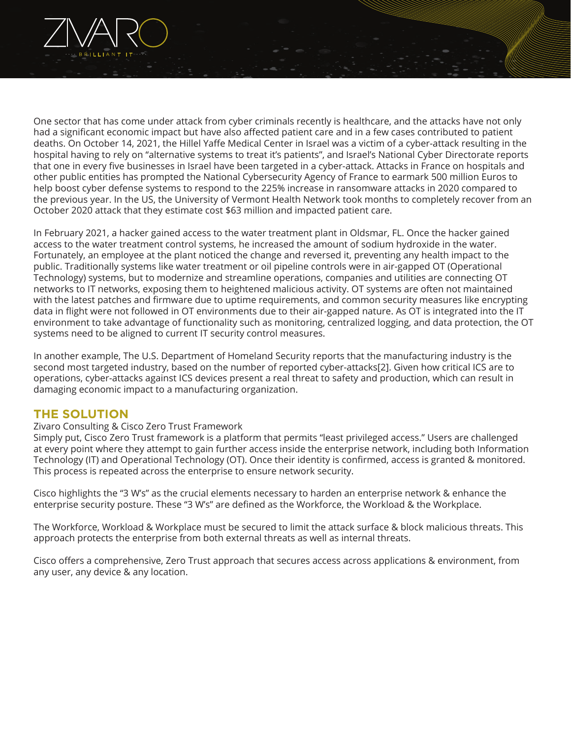

One sector that has come under attack from cyber criminals recently is healthcare, and the attacks have not only had a significant economic impact but have also affected patient care and in a few cases contributed to patient deaths. On October 14, 2021, the Hillel Yaffe Medical Center in Israel was a victim of a cyber-attack resulting in the hospital having to rely on "alternative systems to treat it's patients", and Israel's National Cyber Directorate reports that one in every five businesses in Israel have been targeted in a cyber-attack. Attacks in France on hospitals and other public entities has prompted the National Cybersecurity Agency of France to earmark 500 million Euros to help boost cyber defense systems to respond to the 225% increase in ransomware attacks in 2020 compared to the previous year. In the US, the University of Vermont Health Network took months to completely recover from an October 2020 attack that they estimate cost \$63 million and impacted patient care.

In February 2021, a hacker gained access to the water treatment plant in Oldsmar, FL. Once the hacker gained access to the water treatment control systems, he increased the amount of sodium hydroxide in the water. Fortunately, an employee at the plant noticed the change and reversed it, preventing any health impact to the public. Traditionally systems like water treatment or oil pipeline controls were in air-gapped OT (Operational Technology) systems, but to modernize and streamline operations, companies and utilities are connecting OT networks to IT networks, exposing them to heightened malicious activity. OT systems are often not maintained with the latest patches and firmware due to uptime requirements, and common security measures like encrypting data in flight were not followed in OT environments due to their air-gapped nature. As OT is integrated into the IT environment to take advantage of functionality such as monitoring, centralized logging, and data protection, the OT systems need to be aligned to current IT security control measures.

In another example, The U.S. Department of Homeland Security reports that the manufacturing industry is the second most targeted industry, based on the number of reported cyber-attacks[2]. Given how critical ICS are to operations, cyber-attacks against ICS devices present a real threat to safety and production, which can result in damaging economic impact to a manufacturing organization.

#### **THE SOLUTION**

#### Zivaro Consulting & Cisco Zero Trust Framework

Simply put, Cisco Zero Trust framework is a platform that permits "least privileged access." Users are challenged at every point where they attempt to gain further access inside the enterprise network, including both Information Technology (IT) and Operational Technology (OT). Once their identity is confirmed, access is granted & monitored. This process is repeated across the enterprise to ensure network security.

Cisco highlights the "3 W's" as the crucial elements necessary to harden an enterprise network & enhance the enterprise security posture. These "3 W's" are defined as the Workforce, the Workload & the Workplace.

The Workforce, Workload & Workplace must be secured to limit the attack surface & block malicious threats. This approach protects the enterprise from both external threats as well as internal threats.

Cisco offers a comprehensive, Zero Trust approach that secures access across applications & environment, from any user, any device & any location.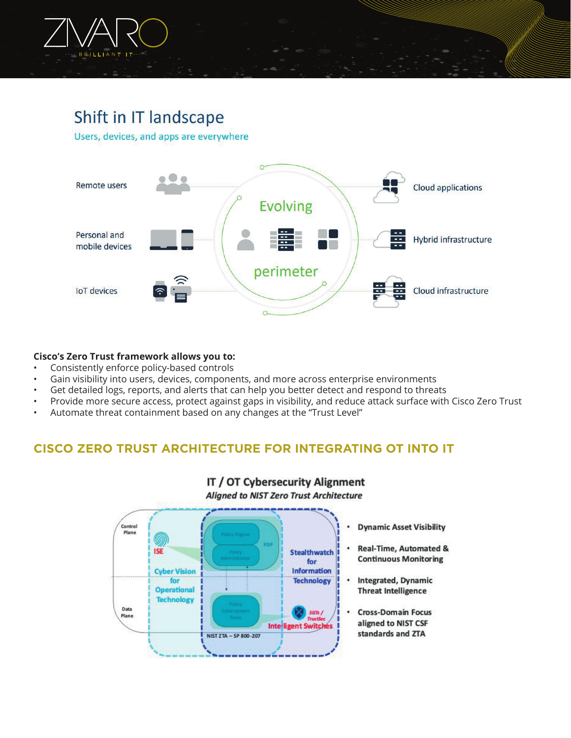

# Shift in IT landscape

Users, devices, and apps are everywhere



#### **Cisco's Zero Trust framework allows you to:**

- Consistently enforce policy-based controls
- Gain visibility into users, devices, components, and more across enterprise environments
- Get detailed logs, reports, and alerts that can help you better detect and respond to threats
- Provide more secure access, protect against gaps in visibility, and reduce attack surface with Cisco Zero Trust
- Automate threat containment based on any changes at the "Trust Level"

## **CISCO ZERO TRUST ARCHITECTURE FOR INTEGRATING OT INTO IT**

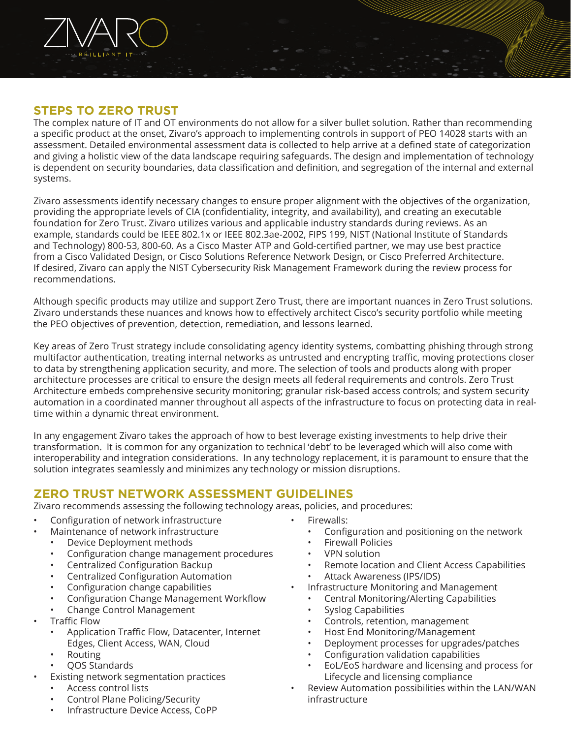

#### **STEPS TO ZERO TRUST**

The complex nature of IT and OT environments do not allow for a silver bullet solution. Rather than recommending a specific product at the onset, Zivaro's approach to implementing controls in support of PEO 14028 starts with an assessment. Detailed environmental assessment data is collected to help arrive at a defined state of categorization and giving a holistic view of the data landscape requiring safeguards. The design and implementation of technology is dependent on security boundaries, data classification and definition, and segregation of the internal and external systems.

Zivaro assessments identify necessary changes to ensure proper alignment with the objectives of the organization, providing the appropriate levels of CIA (confidentiality, integrity, and availability), and creating an executable foundation for Zero Trust. Zivaro utilizes various and applicable industry standards during reviews. As an example, standards could be IEEE 802.1x or IEEE 802.3ae-2002, FIPS 199, NIST (National Institute of Standards and Technology) 800-53, 800-60. As a Cisco Master ATP and Gold-certified partner, we may use best practice from a Cisco Validated Design, or Cisco Solutions Reference Network Design, or Cisco Preferred Architecture. If desired, Zivaro can apply the NIST Cybersecurity Risk Management Framework during the review process for recommendations.

Although specific products may utilize and support Zero Trust, there are important nuances in Zero Trust solutions. Zivaro understands these nuances and knows how to effectively architect Cisco's security portfolio while meeting the PEO objectives of prevention, detection, remediation, and lessons learned.

Key areas of Zero Trust strategy include consolidating agency identity systems, combatting phishing through strong multifactor authentication, treating internal networks as untrusted and encrypting traffic, moving protections closer to data by strengthening application security, and more. The selection of tools and products along with proper architecture processes are critical to ensure the design meets all federal requirements and controls. Zero Trust Architecture embeds comprehensive security monitoring; granular risk-based access controls; and system security automation in a coordinated manner throughout all aspects of the infrastructure to focus on protecting data in realtime within a dynamic threat environment.

In any engagement Zivaro takes the approach of how to best leverage existing investments to help drive their transformation. It is common for any organization to technical 'debt' to be leveraged which will also come with interoperability and integration considerations. In any technology replacement, it is paramount to ensure that the solution integrates seamlessly and minimizes any technology or mission disruptions.

## **ZERO TRUST NETWORK ASSESSMENT GUIDELINES**

Zivaro recommends assessing the following technology areas, policies, and procedures:

- Configuration of network infrastructure
- Maintenance of network infrastructure
	- Device Deployment methods
	- Configuration change management procedures
	- Centralized Configuration Backup
	- Centralized Configuration Automation
	- Configuration change capabilities
	- Configuration Change Management Workflow
	- Change Control Management
- Traffic Flow
	- Application Traffic Flow, Datacenter, Internet Edges, Client Access, WAN, Cloud
	- Routing
	- QOS Standards
- Existing network segmentation practices
	- Access control lists
	- Control Plane Policing/Security
	- Infrastructure Device Access, CoPP
- Firewalls:
	- Configuration and positioning on the network
	- Firewall Policies
	- VPN solution
	- Remote location and Client Access Capabilities
	- Attack Awareness (IPS/IDS)
	- Infrastructure Monitoring and Management
		- Central Monitoring/Alerting Capabilities
		- Syslog Capabilities
		- Controls, retention, management
		- Host End Monitoring/Management
		- Deployment processes for upgrades/patches
		- Configuration validation capabilities
		- EoL/EoS hardware and licensing and process for Lifecycle and licensing compliance
- Review Automation possibilities within the LAN/WAN infrastructure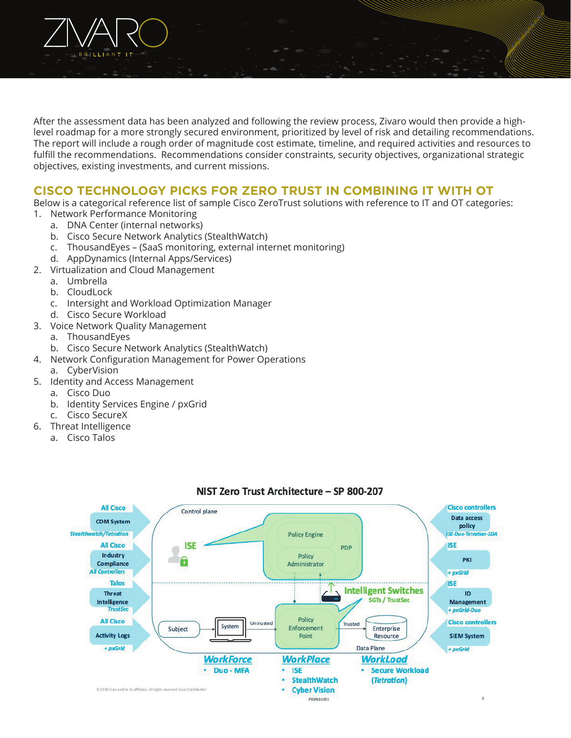

After the assessment data has been analyzed and following the review process, Zivaro would then provide a highlevel roadmap for a more strongly secured environment, prioritized by level of risk and detailing recommendations. The report will include a rough order of magnitude cost estimate, timeline, and required activities and resources to fulfill the recommendations. Recommendations consider constraints, security objectives, organizational strategic objectives, existing investments, and current missions.

# **CISCO TECHNOLOGY PICKS FOR ZERO TRUST IN COMBINING IT WITH OT**

Below is a categorical reference list of sample Cisco ZeroTrust solutions with reference to IT and OT categories: 1. Network Performance Monitoring

- a. DNA Center (internal networks)
- b. Cisco Secure Network Analytics (StealthWatch)
- c. ThousandEyes (SaaS monitoring, external internet monitoring)
- d. AppDynamics (Internal Apps/Services)
- 2. Virtualization and Cloud Management
	- a. Umbrella
	- b. CloudLock
	- c. Intersight and Workload Optimization Manager
	- d. Cisco Secure Workload
- 3. Voice Network Quality Management
	- a. ThousandEyes
	- b. Cisco Secure Network Analytics (StealthWatch)
- 4. Network Configuration Management for Power Operations
	- a. CyberVision
- 5. Identity and Access Management
	- a. Cisco Duo
	- b. Identity Services Engine / pxGrid
	- c. Cisco SecureX
- 6. Threat Intelligence
	- a. Cisco Talos



#### NIST Zero Trust Architecture - SP 800-207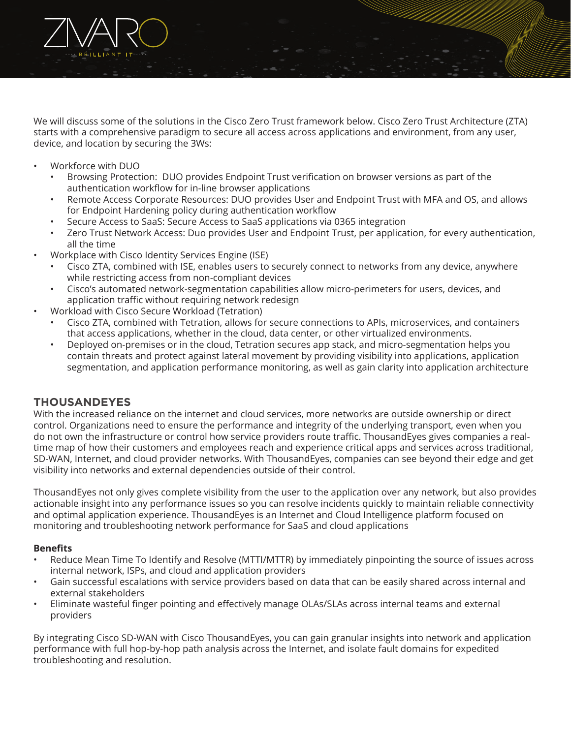

We will discuss some of the solutions in the Cisco Zero Trust framework below. Cisco Zero Trust Architecture (ZTA) starts with a comprehensive paradigm to secure all access across applications and environment, from any user, device, and location by securing the 3Ws:

- Workforce with DUO
	- Browsing Protection: DUO provides Endpoint Trust verification on browser versions as part of the authentication workflow for in-line browser applications
	- Remote Access Corporate Resources: DUO provides User and Endpoint Trust with MFA and OS, and allows for Endpoint Hardening policy during authentication workflow
	- Secure Access to SaaS: Secure Access to SaaS applications via 0365 integration
	- Zero Trust Network Access: Duo provides User and Endpoint Trust, per application, for every authentication, all the time
- Workplace with Cisco Identity Services Engine (ISE)
	- Cisco ZTA, combined with ISE, enables users to securely connect to networks from any device, anywhere while restricting access from non-compliant devices
	- Cisco's automated network-segmentation capabilities allow micro-perimeters for users, devices, and application traffic without requiring network redesign
- Workload with Cisco Secure Workload (Tetration)
	- Cisco ZTA, combined with Tetration, allows for secure connections to APIs, microservices, and containers that access applications, whether in the cloud, data center, or other virtualized environments.
	- Deployed on-premises or in the cloud, Tetration secures app stack, and micro-segmentation helps you contain threats and protect against lateral movement by providing visibility into applications, application segmentation, and application performance monitoring, as well as gain clarity into application architecture

#### **THOUSANDEYES**

With the increased reliance on the internet and cloud services, more networks are outside ownership or direct control. Organizations need to ensure the performance and integrity of the underlying transport, even when you do not own the infrastructure or control how service providers route traffic. ThousandEyes gives companies a realtime map of how their customers and employees reach and experience critical apps and services across traditional, SD-WAN, Internet, and cloud provider networks. With ThousandEyes, companies can see beyond their edge and get visibility into networks and external dependencies outside of their control.

ThousandEyes not only gives complete visibility from the user to the application over any network, but also provides actionable insight into any performance issues so you can resolve incidents quickly to maintain reliable connectivity and optimal application experience. ThousandEyes is an Internet and Cloud Intelligence platform focused on monitoring and troubleshooting network performance for SaaS and cloud applications

#### **Benefits**

- Reduce Mean Time To Identify and Resolve (MTTI/MTTR) by immediately pinpointing the source of issues across internal network, ISPs, and cloud and application providers
- Gain successful escalations with service providers based on data that can be easily shared across internal and external stakeholders
- Eliminate wasteful finger pointing and effectively manage OLAs/SLAs across internal teams and external providers

By integrating Cisco SD-WAN with Cisco ThousandEyes, you can gain granular insights into network and application performance with full hop-by-hop path analysis across the Internet, and isolate fault domains for expedited troubleshooting and resolution.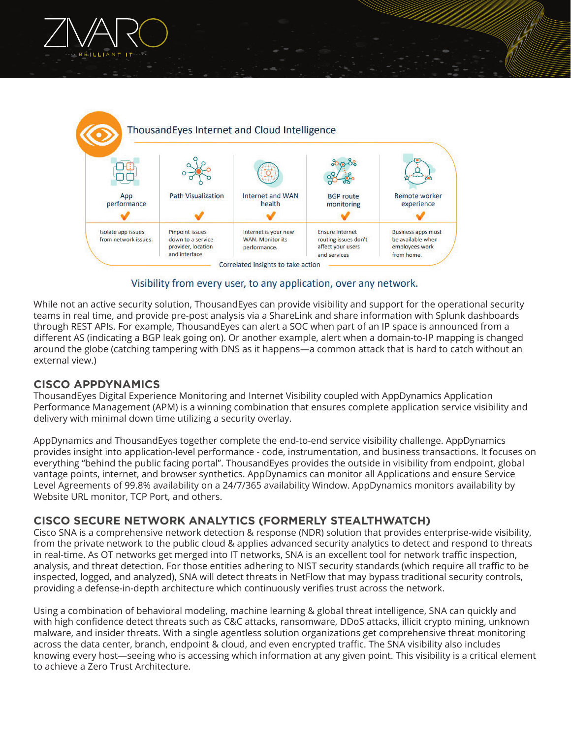



#### Visibility from every user, to any application, over any network.

While not an active security solution, ThousandEyes can provide visibility and support for the operational security teams in real time, and provide pre-post analysis via a ShareLink and share information with Splunk dashboards through REST APIs. For example, ThousandEyes can alert a SOC when part of an IP space is announced from a different AS (indicating a BGP leak going on). Or another example, alert when a domain-to-IP mapping is changed around the globe (catching tampering with DNS as it happens—a common attack that is hard to catch without an external view.)

#### **CISCO APPDYNAMICS**

ThousandEyes Digital Experience Monitoring and Internet Visibility coupled with AppDynamics Application Performance Management (APM) is a winning combination that ensures complete application service visibility and delivery with minimal down time utilizing a security overlay.

AppDynamics and ThousandEyes together complete the end-to-end service visibility challenge. AppDynamics provides insight into application-level performance - code, instrumentation, and business transactions. It focuses on everything "behind the public facing portal". ThousandEyes provides the outside in visibility from endpoint, global vantage points, internet, and browser synthetics. AppDynamics can monitor all Applications and ensure Service Level Agreements of 99.8% availability on a 24/7/365 availability Window. AppDynamics monitors availability by Website URL monitor, TCP Port, and others.

#### **CISCO SECURE NETWORK ANALYTICS (FORMERLY STEALTHWATCH)**

Cisco SNA is a comprehensive network detection & response (NDR) solution that provides enterprise-wide visibility, from the private network to the public cloud & applies advanced security analytics to detect and respond to threats in real-time. As OT networks get merged into IT networks, SNA is an excellent tool for network traffic inspection, analysis, and threat detection. For those entities adhering to NIST security standards (which require all traffic to be inspected, logged, and analyzed), SNA will detect threats in NetFlow that may bypass traditional security controls, providing a defense-in-depth architecture which continuously verifies trust across the network.

Using a combination of behavioral modeling, machine learning & global threat intelligence, SNA can quickly and with high confidence detect threats such as C&C attacks, ransomware, DDoS attacks, illicit crypto mining, unknown malware, and insider threats. With a single agentless solution organizations get comprehensive threat monitoring across the data center, branch, endpoint & cloud, and even encrypted traffic. The SNA visibility also includes knowing every host—seeing who is accessing which information at any given point. This visibility is a critical element to achieve a Zero Trust Architecture.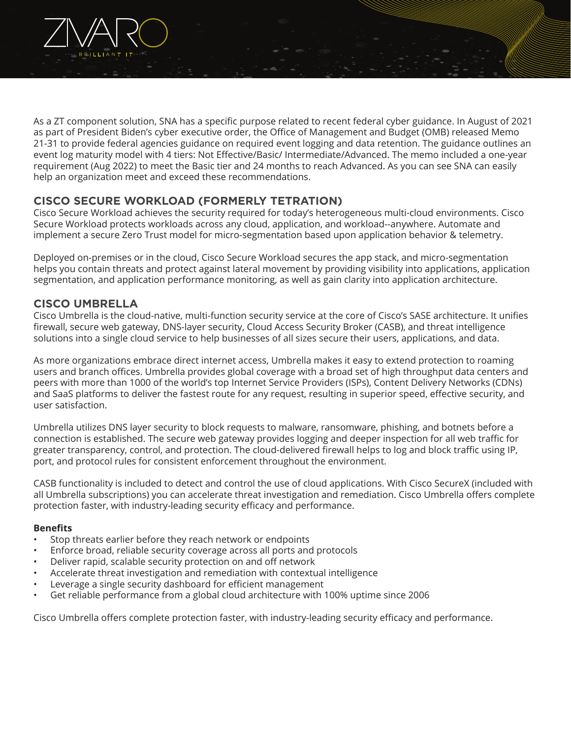

As a ZT component solution, SNA has a specific purpose related to recent federal cyber guidance. In August of 2021 as part of President Biden's cyber executive order, the Office of Management and Budget (OMB) released Memo 21-31 to provide federal agencies guidance on required event logging and data retention. The guidance outlines an event log maturity model with 4 tiers: Not Effective/Basic/ Intermediate/Advanced. The memo included a one-year requirement (Aug 2022) to meet the Basic tier and 24 months to reach Advanced. As you can see SNA can easily help an organization meet and exceed these recommendations.

#### **CISCO SECURE WORKLOAD (FORMERLY TETRATION)**

Cisco Secure Workload achieves the security required for today's heterogeneous multi-cloud environments. Cisco Secure Workload protects workloads across any cloud, application, and workload--anywhere. Automate and implement a secure Zero Trust model for micro-segmentation based upon application behavior & telemetry.

Deployed on-premises or in the cloud, Cisco Secure Workload secures the app stack, and micro-segmentation helps you contain threats and protect against lateral movement by providing visibility into applications, application segmentation, and application performance monitoring, as well as gain clarity into application architecture.

#### **CISCO UMBRELLA**

Cisco Umbrella is the cloud-native, multi-function security service at the core of Cisco's SASE architecture. It unifies firewall, secure web gateway, DNS-layer security, Cloud Access Security Broker (CASB), and threat intelligence solutions into a single cloud service to help businesses of all sizes secure their users, applications, and data.

As more organizations embrace direct internet access, Umbrella makes it easy to extend protection to roaming users and branch offices. Umbrella provides global coverage with a broad set of high throughput data centers and peers with more than 1000 of the world's top Internet Service Providers (ISPs), Content Delivery Networks (CDNs) and SaaS platforms to deliver the fastest route for any request, resulting in superior speed, effective security, and user satisfaction.

Umbrella utilizes DNS layer security to block requests to malware, ransomware, phishing, and botnets before a connection is established. The secure web gateway provides logging and deeper inspection for all web traffic for greater transparency, control, and protection. The cloud-delivered firewall helps to log and block traffic using IP, port, and protocol rules for consistent enforcement throughout the environment.

CASB functionality is included to detect and control the use of cloud applications. With Cisco SecureX (included with all Umbrella subscriptions) you can accelerate threat investigation and remediation. Cisco Umbrella offers complete protection faster, with industry-leading security efficacy and performance.

#### **Benefits**

- Stop threats earlier before they reach network or endpoints
- Enforce broad, reliable security coverage across all ports and protocols
- Deliver rapid, scalable security protection on and off network
- Accelerate threat investigation and remediation with contextual intelligence
- Leverage a single security dashboard for efficient management
- Get reliable performance from a global cloud architecture with 100% uptime since 2006

Cisco Umbrella offers complete protection faster, with industry-leading security efficacy and performance.